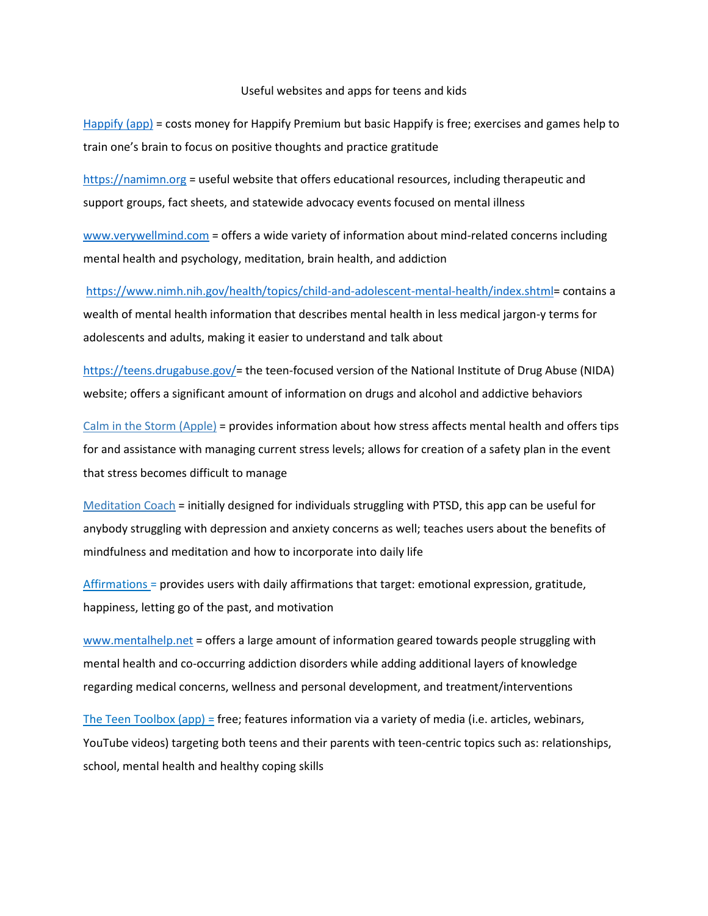## Useful websites and apps for teens and kids

[Happify](http://www.happify.com/) (app) = costs money for Happify Premium but basic Happify is free; exercises and games help to train one's brain to focus on positive thoughts and practice gratitude

[https://namimn.org](https://namimn.org/) = useful website that offers educational resources, including therapeutic and support groups, fact sheets, and statewide advocacy events focused on mental illness

[www.verywellmind.com](http://www.verywellmind.com/) = offers a wide variety of information about mind-related concerns including mental health and psychology, meditation, brain health, and addiction

[https://www.nimh.nih.gov/health/topics/child-and-adolescent-mental-health/index.shtml=](https://www.nimh.nih.gov/health/topics/child-and-adolescent-mental-health/index.shtml) contains a wealth of mental health information that describes mental health in less medical jargon-y terms for adolescents and adults, making it easier to understand and talk about

[https://teens.drugabuse.gov/=](https://teens.drugabuse.gov/) the teen-focused version of the National Institute of Drug Abuse (NIDA) website; offers a significant amount of information on drugs and alcohol and addictive behaviors

Calm in the Storm (Apple) = provides information about how stress affects mental health and offers tips for and assistance with managing current stress levels; allows for creation of a safety plan in the event that stress becomes difficult to manage

Meditation Coach = initially designed for individuals struggling with PTSD, this app can be useful for anybody struggling with depression and anxiety concerns as well; teaches users about the benefits of mindfulness and meditation and how to incorporate into daily life

 $Affirmations =$  provides users with daily affirmations that target: emotional expression, gratitude, happiness, letting go of the past, and motivation

[www.mentalhelp.net](http://www.mentalhelp.net/) = offers a large amount of information geared towards people struggling with mental health and co-occurring addiction disorders while adding additional layers of knowledge regarding medical concerns, wellness and personal development, and treatment/interventions

The Teen Toolbox (app) = free; features information via a variety of media (i.e. articles, webinars, YouTube videos) targeting both teens and their parents with teen-centric topics such as: relationships, school, mental health and healthy coping skills